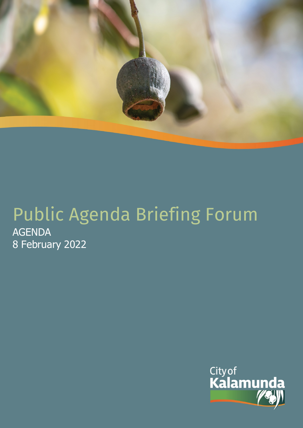

# Public Agenda Briefing Forum AGENDA 8 February 2022

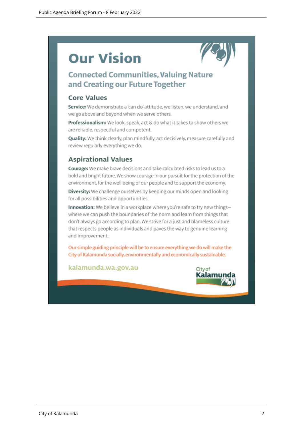# **Our Vision**



# **Connected Communities, Valuing Nature** and Creating our Future Together

# **Core Values**

Service: We demonstrate a 'can do' attitude, we listen, we understand, and we go above and beyond when we serve others.

Professionalism: We look, speak, act & do what it takes to show others we are reliable, respectful and competent.

Quality: We think clearly, plan mindfully, act decisively, measure carefully and review regularly everything we do.

# **Aspirational Values**

Courage: We make brave decisions and take calculated risks to lead us to a bold and bright future. We show courage in our pursuit for the protection of the environment, for the well being of our people and to support the economy.

Diversity: We challenge ourselves by keeping our minds open and looking for all possibilities and opportunities.

Innovation: We believe in a workplace where you're safe to try new thingswhere we can push the boundaries of the norm and learn from things that don't always go according to plan. We strive for a just and blameless culture that respects people as individuals and paves the way to genuine learning and improvement.

Our simple guiding principle will be to ensure everything we do will make the City of Kalamunda socially, environmentally and economically sustainable.

kalamunda.wa.gov.au

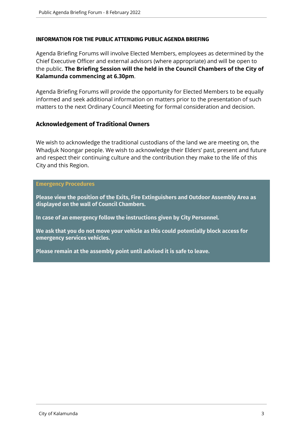# **INFORMATION FOR THE PUBLIC ATTENDING PUBLIC AGENDA BRIEFING**

Agenda Briefing Forums will involve Elected Members, employees as determined by the Chief Executive Officer and external advisors (where appropriate) and will be open to the public. **The Briefing Session will the held in the Council Chambers of the City of Kalamunda commencing at 6.30pm**.

Agenda Briefing Forums will provide the opportunity for Elected Members to be equally informed and seek additional information on matters prior to the presentation of such matters to the next Ordinary Council Meeting for formal consideration and decision.

# **Acknowledgement of Traditional Owners**

We wish to acknowledge the traditional custodians of the land we are meeting on, the Whadjuk Noongar people. We wish to acknowledge their Elders' past, present and future and respect their continuing culture and the contribution they make to the life of this City and this Region.

#### **Emergency Procedures**

**Please view the position of the Exits, Fire Extinguishers and Outdoor Assembly Area as displayed on the wall of Council Chambers.**

**In case of an emergency follow the instructions given by City Personnel.** 

**We ask that you do not move your vehicle as this could potentially block access for emergency services vehicles.** 

**Please remain at the assembly point until advised it is safe to leave.**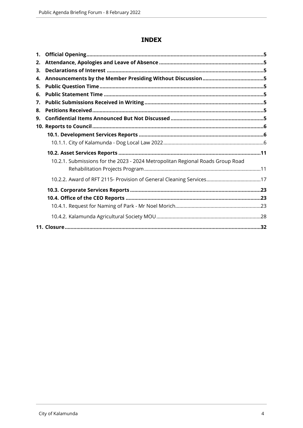# **INDEX**

| 1. |                                                                                |  |
|----|--------------------------------------------------------------------------------|--|
| 2. |                                                                                |  |
| 3. |                                                                                |  |
| 4. |                                                                                |  |
| 5. |                                                                                |  |
| 6. |                                                                                |  |
| 7. |                                                                                |  |
| 8. |                                                                                |  |
| 9. |                                                                                |  |
|    |                                                                                |  |
|    |                                                                                |  |
|    |                                                                                |  |
|    |                                                                                |  |
|    | 10.2.1. Submissions for the 2023 - 2024 Metropolitan Regional Roads Group Road |  |
|    |                                                                                |  |
|    |                                                                                |  |
|    |                                                                                |  |
|    |                                                                                |  |
|    |                                                                                |  |
|    |                                                                                |  |
|    |                                                                                |  |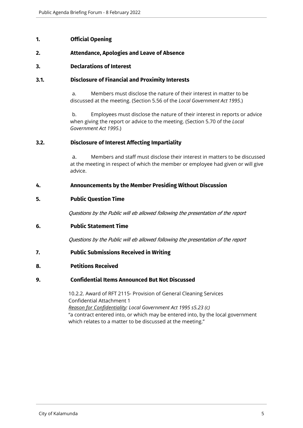# <span id="page-4-0"></span>**1. Official Opening**

# <span id="page-4-1"></span>**2. Attendance, Apologies and Leave of Absence**

#### <span id="page-4-2"></span>**3. Declarations of Interest**

#### **3.1. Disclosure of Financial and Proximity Interests**

a. Members must disclose the nature of their interest in matter to be discussed at the meeting. (Section 5.56 of the *Local Government Act 1995*.)

b. Employees must disclose the nature of their interest in reports or advice when giving the report or advice to the meeting. (Section 5.70 of the *Local Government Act 1995*.)

#### **3.2. Disclosure of Interest Affecting Impartiality**

a. Members and staff must disclose their interest in matters to be discussed at the meeting in respect of which the member or employee had given or will give advice.

#### <span id="page-4-3"></span>**4. Announcements by the Member Presiding Without Discussion**

#### <span id="page-4-4"></span>**5. Public Question Time**

*Questions by the Public will eb allowed following the presentation of the report*

#### <span id="page-4-5"></span>**6. Public Statement Time**

*Questions by the Public will eb allowed following the presentation of the report*

#### <span id="page-4-6"></span>**7. Public Submissions Received in Writing**

#### <span id="page-4-7"></span>**8. Petitions Received**

#### <span id="page-4-8"></span>**9. Confidential Items Announced But Not Discussed**

10.2.2. Award of RFT 2115- Provision of General Cleaning Services Confidential Attachment 1 *Reason for Confidentiality: Local Government Act 1995 s5.23 (c)* "a contract entered into, or which may be entered into, by the local government which relates to a matter to be discussed at the meeting."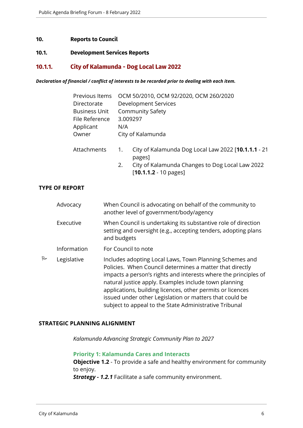#### <span id="page-5-0"></span>**10. Reports to Council**

#### <span id="page-5-1"></span>**10.1. Development Services Reports**

# <span id="page-5-2"></span>**10.1.1. City of Kalamunda - Dog Local Law 2022**

*Declaration of financial / conflict of interests to be recorded prior to dealing with each item.*

| Previous Items       | OCM 50/2010, OCM 92/2020, OCM 260/2020 |                                                               |  |
|----------------------|----------------------------------------|---------------------------------------------------------------|--|
| Directorate          | Development Services                   |                                                               |  |
| <b>Business Unit</b> |                                        | <b>Community Safety</b>                                       |  |
| File Reference       |                                        | 3.009297                                                      |  |
| Applicant            | N/A                                    |                                                               |  |
| Owner                |                                        | City of Kalamunda                                             |  |
| Attachments          | $\mathbf{1}$ .                         | City of Kalamunda Dog Local Law 2022 [10.1.1.1 - 21<br>pages] |  |
|                      | 2.                                     | City of Kalamunda Changes to Dog Local Law 2022               |  |

[**10.1.1.2** - 10 pages]

# **TYPE OF REPORT**

|   | Advocacy    | When Council is advocating on behalf of the community to<br>another level of government/body/agency                                                                                                                                                                                                                                                                                                                                |
|---|-------------|------------------------------------------------------------------------------------------------------------------------------------------------------------------------------------------------------------------------------------------------------------------------------------------------------------------------------------------------------------------------------------------------------------------------------------|
|   | Executive   | When Council is undertaking its substantive role of direction<br>setting and oversight (e.g., accepting tenders, adopting plans<br>and budgets                                                                                                                                                                                                                                                                                     |
|   | Information | For Council to note                                                                                                                                                                                                                                                                                                                                                                                                                |
| R | Legislative | Includes adopting Local Laws, Town Planning Schemes and<br>Policies. When Council determines a matter that directly<br>impacts a person's rights and interests where the principles of<br>natural justice apply. Examples include town planning<br>applications, building licences, other permits or licences<br>issued under other Legislation or matters that could be<br>subject to appeal to the State Administrative Tribunal |

#### **STRATEGIC PLANNING ALIGNMENT**

*Kalamunda Advancing Strategic Community Plan to 2027*

**Priority 1: Kalamunda Cares and Interacts**

**Objective 1.2** - To provide a safe and healthy environment for community to enjoy.

*Strategy - 1.2.1* Facilitate a safe community environment.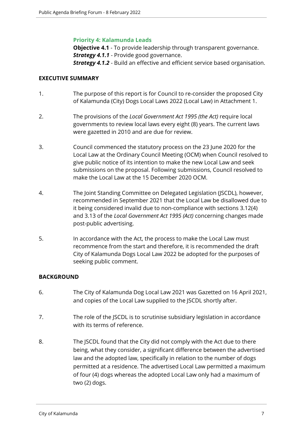# **Priority 4: Kalamunda Leads**

**Objective 4.1** - To provide leadership through transparent governance.

*Strategy 4.1.1* - Provide good governance.

*Strategy 4.1.2* - Build an effective and efficient service based organisation.

# **EXECUTIVE SUMMARY**

- 1. The purpose of this report is for Council to re-consider the proposed City of Kalamunda (City) Dogs Local Laws 2022 (Local Law) in Attachment 1.
- 2. The provisions of the *Local Government Act 1995 (the Act)* require local governments to review local laws every eight (8) years. The current laws were gazetted in 2010 and are due for review.
- 3. Council commenced the statutory process on the 23 June 2020 for the Local Law at the Ordinary Council Meeting (OCM) when Council resolved to give public notice of its intention to make the new Local Law and seek submissions on the proposal. Following submissions, Council resolved to make the Local Law at the 15 December 2020 OCM.
- 4. The Joint Standing Committee on Delegated Legislation (JSCDL), however, recommended in September 2021 that the Local Law be disallowed due to it being considered invalid due to non-compliance with sections 3.12(4) and 3.13 of the *Local Government Act 1995 (Act)* concerning changes made post-public advertising.
- 5. In accordance with the Act, the process to make the Local Law must recommence from the start and therefore, it is recommended the draft City of Kalamunda Dogs Local Law 2022 be adopted for the purposes of seeking public comment.

# **BACKGROUND**

- 6. The City of Kalamunda Dog Local Law 2021 was Gazetted on 16 April 2021, and copies of the Local Law supplied to the JSCDL shortly after.
- 7. The role of the JSCDL is to scrutinise subsidiary legislation in accordance with its terms of reference.
- 8. The JSCDL found that the City did not comply with the Act due to there being, what they consider, a significant difference between the advertised law and the adopted law, specifically in relation to the number of dogs permitted at a residence. The advertised Local Law permitted a maximum of four (4) dogs whereas the adopted Local Law only had a maximum of two (2) dogs.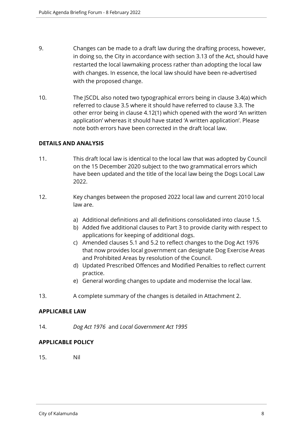- 9. Changes can be made to a draft law during the drafting process, however, in doing so, the City in accordance with section 3.13 of the Act, should have restarted the local lawmaking process rather than adopting the local law with changes. In essence, the local law should have been re-advertised with the proposed change.
- 10. The JSCDL also noted two typographical errors being in clause 3.4(a) which referred to clause 3.5 where it should have referred to clause 3.3. The other error being in clause 4.12(1) which opened with the word 'An written application' whereas it should have stated 'A written application'. Please note both errors have been corrected in the draft local law.

# **DETAILS AND ANALYSIS**

- 11. This draft local law is identical to the local law that was adopted by Council on the 15 December 2020 subject to the two grammatical errors which have been updated and the title of the local law being the Dogs Local Law 2022.
- 12. Key changes between the proposed 2022 local law and current 2010 local law are.
	- a) Additional definitions and all definitions consolidated into clause 1.5.
	- b) Added five additional clauses to Part 3 to provide clarity with respect to applications for keeping of additional dogs.
	- c) Amended clauses 5.1 and 5.2 to reflect changes to the Dog Act 1976 that now provides local government can designate Dog Exercise Areas and Prohibited Areas by resolution of the Council.
	- d) Updated Prescribed Offences and Modified Penalties to reflect current practice.
	- e) General wording changes to update and modernise the local law.
- 13. A complete summary of the changes is detailed in Attachment 2.

#### **APPLICABLE LAW**

14. *Dog Act 1976* and *Local Government Act 1995* 

# **APPLICABLE POLICY**

15. Nil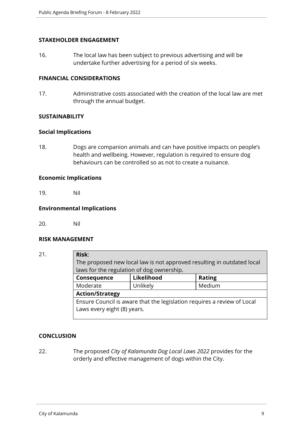# **STAKEHOLDER ENGAGEMENT**

16. The local law has been subject to previous advertising and will be undertake further advertising for a period of six weeks.

# **FINANCIAL CONSIDERATIONS**

17. Administrative costs associated with the creation of the local law are met through the annual budget.

# **SUSTAINABILITY**

#### **Social Implications**

18. Dogs are companion animals and can have positive impacts on people's health and wellbeing. However, regulation is required to ensure dog behaviours can be controlled so as not to create a nuisance.

#### **Economic Implications**

19. Nil

# **Environmental Implications**

20. Nil

#### **RISK MANAGEMENT**

21. **Risk**:

The proposed new local law is not approved resulting in outdated local laws for the regulation of dog ownership.

| Consequence                                                                                            | Likelihood | <b>Rating</b> |
|--------------------------------------------------------------------------------------------------------|------------|---------------|
| Moderate                                                                                               | Unlikely   | Medium        |
| <b>Action/Strategy</b>                                                                                 |            |               |
| Ensure Council is aware that the legislation requires a review of Local<br>Laws every eight (8) years. |            |               |
|                                                                                                        |            |               |

# **CONCLUSION**

22. The proposed *City of Kalamunda Dog Local Laws 2022* provides for the orderly and effective management of dogs within the City.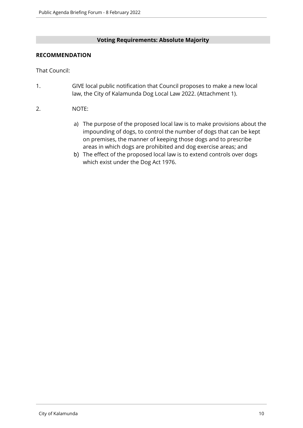# **Voting Requirements: Absolute Majority**

# **RECOMMENDATION**

That Council:

- 1. GIVE local public notification that Council proposes to make a new local law, the City of Kalamunda Dog Local Law 2022. (Attachment 1).
- 2. NOTE:
	- a) The purpose of the proposed local law is to make provisions about the impounding of dogs, to control the number of dogs that can be kept on premises, the manner of keeping those dogs and to prescribe areas in which dogs are prohibited and dog exercise areas; and
	- b) The effect of the proposed local law is to extend controls over dogs which exist under the Dog Act 1976.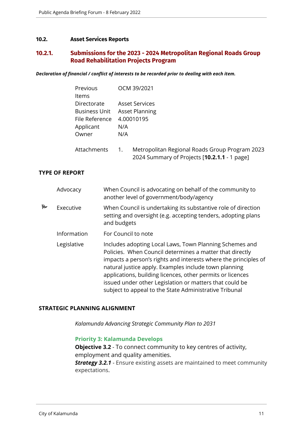#### <span id="page-10-0"></span>**10.2. Asset Services Reports**

# <span id="page-10-1"></span>**10.2.1. Submissions for the 2023 - 2024 Metropolitan Regional Roads Group Road Rehabilitation Projects Program**

*Declaration of financial / conflict of interests to be recorded prior to dealing with each item.*

| Previous             | OCM 39/2021           |
|----------------------|-----------------------|
| ltems                |                       |
| Directorate          | Asset Services        |
| <b>Business Unit</b> | <b>Asset Planning</b> |
| File Reference       | 4.00010195            |
| Applicant            | N/A                   |
| Owner                | N/A                   |
|                      |                       |

| Attachments | Metropolitan Regional Roads Group Program 2023 |
|-------------|------------------------------------------------|
|             | 2024 Summary of Projects [10.2.1.1 - 1 page]   |

#### **TYPE OF REPORT**

|    | Advocacy    | When Council is advocating on behalf of the community to<br>another level of government/body/agency                                                                                                                                                                                                                                                                                                                                |
|----|-------------|------------------------------------------------------------------------------------------------------------------------------------------------------------------------------------------------------------------------------------------------------------------------------------------------------------------------------------------------------------------------------------------------------------------------------------|
| ہے | Executive   | When Council is undertaking its substantive role of direction<br>setting and oversight (e.g. accepting tenders, adopting plans<br>and budgets                                                                                                                                                                                                                                                                                      |
|    | Information | For Council to note                                                                                                                                                                                                                                                                                                                                                                                                                |
|    | Legislative | Includes adopting Local Laws, Town Planning Schemes and<br>Policies. When Council determines a matter that directly<br>impacts a person's rights and interests where the principles of<br>natural justice apply. Examples include town planning<br>applications, building licences, other permits or licences<br>issued under other Legislation or matters that could be<br>subject to appeal to the State Administrative Tribunal |

#### **STRATEGIC PLANNING ALIGNMENT**

*Kalamunda Advancing Strategic Community Plan to 2031*

#### **Priority 3: Kalamunda Develops**

**Objective 3.2** - To connect community to key centres of activity, employment and quality amenities. **Strategy 3.2.1** - Ensure existing assets are maintained to meet community expectations.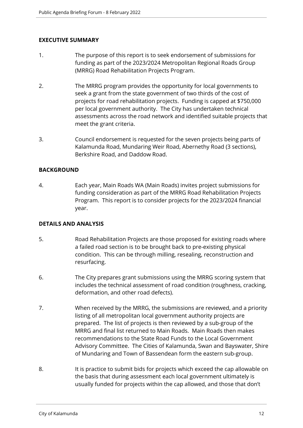# **EXECUTIVE SUMMARY**

- 1. The purpose of this report is to seek endorsement of submissions for funding as part of the 2023/2024 Metropolitan Regional Roads Group (MRRG) Road Rehabilitation Projects Program.
- 2. The MRRG program provides the opportunity for local governments to seek a grant from the state government of two thirds of the cost of projects for road rehabilitation projects. Funding is capped at \$750,000 per local government authority. The City has undertaken technical assessments across the road network and identified suitable projects that meet the grant criteria.
- 3. Council endorsement is requested for the seven projects being parts of Kalamunda Road, Mundaring Weir Road, Abernethy Road (3 sections), Berkshire Road, and Daddow Road.

# **BACKGROUND**

4. Each year, Main Roads WA (Main Roads) invites project submissions for funding consideration as part of the MRRG Road Rehabilitation Projects Program. This report is to consider projects for the 2023/2024 financial year.

# **DETAILS AND ANALYSIS**

- 5. Road Rehabilitation Projects are those proposed for existing roads where a failed road section is to be brought back to pre-existing physical condition. This can be through milling, resealing, reconstruction and resurfacing.
- 6. The City prepares grant submissions using the MRRG scoring system that includes the technical assessment of road condition (roughness, cracking, deformation, and other road defects).
- 7. When received by the MRRG, the submissions are reviewed, and a priority listing of all metropolitan local government authority projects are prepared. The list of projects is then reviewed by a sub-group of the MRRG and final list returned to Main Roads. Main Roads then makes recommendations to the State Road Funds to the Local Government Advisory Committee. The Cities of Kalamunda, Swan and Bayswater, Shire of Mundaring and Town of Bassendean form the eastern sub-group.
- 8. It is practice to submit bids for projects which exceed the cap allowable on the basis that during assessment each local government ultimately is usually funded for projects within the cap allowed, and those that don't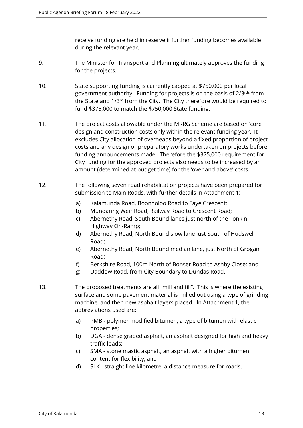receive funding are held in reserve if further funding becomes available during the relevant year.

- 9. The Minister for Transport and Planning ultimately approves the funding for the projects.
- 10. State supporting funding is currently capped at \$750,000 per local government authority. Funding for projects is on the basis of 2/3rds from the State and 1/3rd from the City. The City therefore would be required to fund \$375,000 to match the \$750,000 State funding.
- 11. The project costs allowable under the MRRG Scheme are based on 'core' design and construction costs only within the relevant funding year. It excludes City allocation of overheads beyond a fixed proportion of project costs and any design or preparatory works undertaken on projects before funding announcements made. Therefore the \$375,000 requirement for City funding for the approved projects also needs to be increased by an amount (determined at budget time) for the 'over and above' costs.
- 12. The following seven road rehabilitation projects have been prepared for submission to Main Roads, with further details in Attachment 1:
	- a) Kalamunda Road, Boonooloo Road to Faye Crescent;
	- b) Mundaring Weir Road, Railway Road to Crescent Road;
	- c) Abernethy Road, South Bound lanes just north of the Tonkin Highway On-Ramp;
	- d) Abernethy Road, North Bound slow lane just South of Hudswell Road;
	- e) Abernethy Road, North Bound median lane, just North of Grogan Road;
	- f) Berkshire Road, 100m North of Bonser Road to Ashby Close; and
	- g) Daddow Road, from City Boundary to Dundas Road.
- 13. The proposed treatments are all "mill and fill". This is where the existing surface and some pavement material is milled out using a type of grinding machine, and then new asphalt layers placed. In Attachment 1, the abbreviations used are:
	- a) PMB polymer modified bitumen, a type of bitumen with elastic properties;
	- b) DGA dense graded asphalt, an asphalt designed for high and heavy traffic loads;
	- c) SMA stone mastic asphalt, an asphalt with a higher bitumen content for flexibility; and
	- d) SLK straight line kilometre, a distance measure for roads.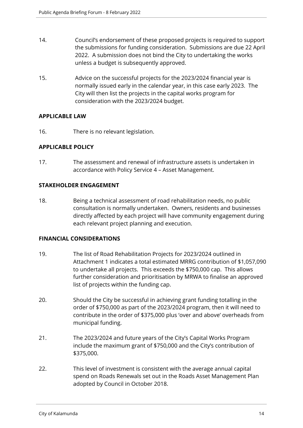- 14. Council's endorsement of these proposed projects is required to support the submissions for funding consideration. Submissions are due 22 April 2022. A submission does not bind the City to undertaking the works unless a budget is subsequently approved.
- 15. Advice on the successful projects for the 2023/2024 financial year is normally issued early in the calendar year, in this case early 2023. The City will then list the projects in the capital works program for consideration with the 2023/2024 budget.

# **APPLICABLE LAW**

16. There is no relevant legislation.

# **APPLICABLE POLICY**

17. The assessment and renewal of infrastructure assets is undertaken in accordance with Policy Service 4 – Asset Management.

# **STAKEHOLDER ENGAGEMENT**

18. Being a technical assessment of road rehabilitation needs, no public consultation is normally undertaken. Owners, residents and businesses directly affected by each project will have community engagement during each relevant project planning and execution.

# **FINANCIAL CONSIDERATIONS**

- 19. The list of Road Rehabilitation Projects for 2023/2024 outlined in Attachment 1 indicates a total estimated MRRG contribution of \$1,057,090 to undertake all projects. This exceeds the \$750,000 cap. This allows further consideration and prioritisation by MRWA to finalise an approved list of projects within the funding cap.
- 20. Should the City be successful in achieving grant funding totalling in the order of \$750,000 as part of the 2023/2024 program, then it will need to contribute in the order of \$375,000 plus 'over and above' overheads from municipal funding.
- 21. The 2023/2024 and future years of the City's Capital Works Program include the maximum grant of \$750,000 and the City's contribution of \$375,000.
- 22. This level of investment is consistent with the average annual capital spend on Roads Renewals set out in the Roads Asset Management Plan adopted by Council in October 2018.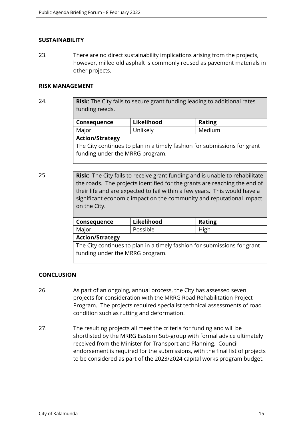## **SUSTAINABILITY**

23. There are no direct sustainability implications arising from the projects, however, milled old asphalt is commonly reused as pavement materials in other projects.

#### **RISK MANAGEMENT**

24. **Risk**: The City fails to secure grant funding leading to additional rates funding needs.

| Likelihood             | <b>Rating</b> |  |
|------------------------|---------------|--|
| Unlikely               | Medium        |  |
| <b>Action/Strategy</b> |               |  |
|                        |               |  |

The City continues to plan in a timely fashion for submissions for grant funding under the MRRG program.

25. **Risk**: The City fails to receive grant funding and is unable to rehabilitate the roads. The projects identified for the grants are reaching the end of their life and are expected to fail within a few years. This would have a significant economic impact on the community and reputational impact on the City.

| Consequence                                                              | Likelihood | <b>Rating</b> |
|--------------------------------------------------------------------------|------------|---------------|
| Major                                                                    | Possible   | High          |
| <b>Action/Strategy</b>                                                   |            |               |
| The City continues to plan in a timely fashion for submissions for grant |            |               |

# **CONCLUSION**

26. As part of an ongoing, annual process, the City has assessed seven projects for consideration with the MRRG Road Rehabilitation Project Program. The projects required specialist technical assessments of road condition such as rutting and deformation.

funding under the MRRG program.

27. The resulting projects all meet the criteria for funding and will be shortlisted by the MRRG Eastern Sub-group with formal advice ultimately received from the Minister for Transport and Planning. Council endorsement is required for the submissions, with the final list of projects to be considered as part of the 2023/2024 capital works program budget.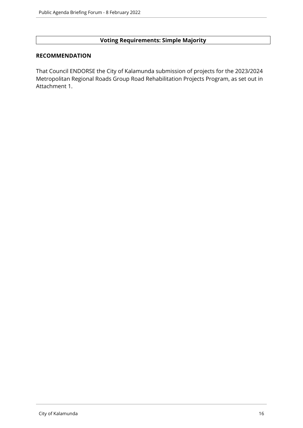# **Voting Requirements: Simple Majority**

#### **RECOMMENDATION**

That Council ENDORSE the City of Kalamunda submission of projects for the 2023/2024 Metropolitan Regional Roads Group Road Rehabilitation Projects Program, as set out in Attachment 1.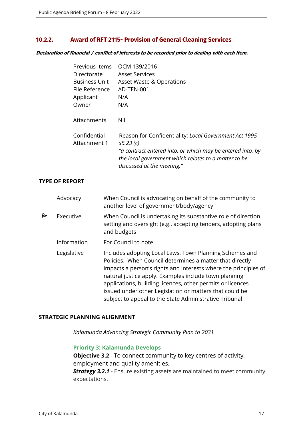# <span id="page-16-0"></span>**10.2.2. Award of RFT 2115- Provision of General Cleaning Services**

*Declaration of financial / conflict of interests to be recorded prior to dealing with each item.*

| Previous Items               | OCM 139/2016                                                                                                                                     |
|------------------------------|--------------------------------------------------------------------------------------------------------------------------------------------------|
| Directorate                  | <b>Asset Services</b>                                                                                                                            |
| <b>Business Unit</b>         | Asset Waste & Operations                                                                                                                         |
| File Reference               | AD-TEN-001                                                                                                                                       |
| Applicant                    | N/A                                                                                                                                              |
| Owner                        | N/A                                                                                                                                              |
| Attachments                  | Nil                                                                                                                                              |
| Confidential<br>Attachment 1 | Reason for Confidentiality: Local Government Act 1995<br>s5.23(c)                                                                                |
|                              | "a contract entered into, or which may be entered into, by<br>the local government which relates to a matter to be<br>discussed at the meeting." |

#### **TYPE OF REPORT**

|   | Advocacy    | When Council is advocating on behalf of the community to<br>another level of government/body/agency                                                                                                                                                                                                                                                                                                                                |
|---|-------------|------------------------------------------------------------------------------------------------------------------------------------------------------------------------------------------------------------------------------------------------------------------------------------------------------------------------------------------------------------------------------------------------------------------------------------|
| ٣ | Executive   | When Council is undertaking its substantive role of direction<br>setting and oversight (e.g., accepting tenders, adopting plans<br>and budgets                                                                                                                                                                                                                                                                                     |
|   | Information | For Council to note                                                                                                                                                                                                                                                                                                                                                                                                                |
|   | Legislative | Includes adopting Local Laws, Town Planning Schemes and<br>Policies. When Council determines a matter that directly<br>impacts a person's rights and interests where the principles of<br>natural justice apply. Examples include town planning<br>applications, building licences, other permits or licences<br>issued under other Legislation or matters that could be<br>subject to appeal to the State Administrative Tribunal |

#### **STRATEGIC PLANNING ALIGNMENT**

*Kalamunda Advancing Strategic Community Plan to 2031*

# **Priority 3: Kalamunda Develops**

**Objective 3.2** - To connect community to key centres of activity, employment and quality amenities.

*Strategy 3.2.1* - Ensure existing assets are maintained to meet community expectations.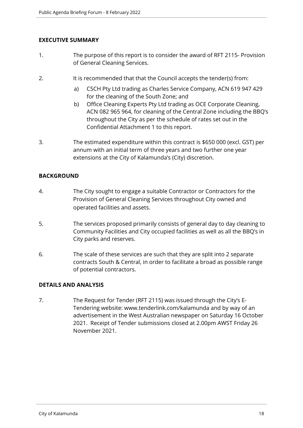# **EXECUTIVE SUMMARY**

- 1. The purpose of this report is to consider the award of RFT 2115- Provision of General Cleaning Services.
- 2. It is recommended that that the Council accepts the tender(s) from:
	- a) CSCH Pty Ltd trading as Charles Service Company, ACN 619 947 429 for the cleaning of the South Zone; and
	- b) Office Cleaning Experts Pty Ltd trading as OCE Corporate Cleaning, ACN 082 965 964, for cleaning of the Central Zone including the BBQ's throughout the City as per the schedule of rates set out in the Confidential Attachment 1 to this report.
- 3. The estimated expenditure within this contract is \$650 000 (excl. GST) per annum with an initial term of three years and two further one year extensions at the City of Kalamunda's (City) discretion.

# **BACKGROUND**

- 4. The City sought to engage a suitable Contractor or Contractors for the Provision of General Cleaning Services throughout City owned and operated facilities and assets.
- 5. The services proposed primarily consists of general day to day cleaning to Community Facilities and City occupied facilities as well as all the BBQ's in City parks and reserves.
- 6. The scale of these services are such that they are split into 2 separate contracts South & Central, in order to facilitate a broad as possible range of potential contractors.

# **DETAILS AND ANALYSIS**

7. The Request for Tender (RFT 2115) was issued through the City's E-Tendering website: www.tenderlink.com/kalamunda and by way of an advertisement in the West Australian newspaper on Saturday 16 October 2021. Receipt of Tender submissions closed at 2.00pm AWST Friday 26 November 2021.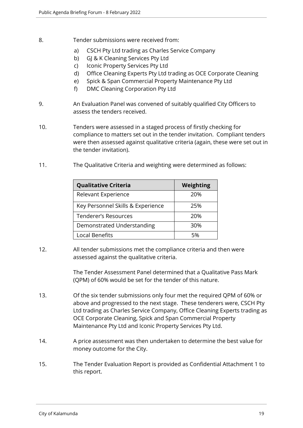- 8. Tender submissions were received from:
	- a) CSCH Pty Ltd trading as Charles Service Company
	- b) GJ & K Cleaning Services Pty Ltd
	- c) Iconic Property Services Pty Ltd
	- d) Office Cleaning Experts Pty Ltd trading as OCE Corporate Cleaning
	- e) Spick & Span Commercial Property Maintenance Pty Ltd
	- f) DMC Cleaning Corporation Pty Ltd
- 9. An Evaluation Panel was convened of suitably qualified City Officers to assess the tenders received.
- 10. Tenders were assessed in a staged process of firstly checking for compliance to matters set out in the tender invitation. Compliant tenders were then assessed against qualitative criteria (again, these were set out in the tender invitation).
- 11. The Qualitative Criteria and weighting were determined as follows:

| <b>Qualitative Criteria</b>       | Weighting |
|-----------------------------------|-----------|
| Relevant Experience               | 20%       |
| Key Personnel Skills & Experience | 25%       |
| <b>Tenderer's Resources</b>       | 20%       |
| Demonstrated Understanding        | 30%       |
| <b>Local Benefits</b>             | 5%        |

12. All tender submissions met the compliance criteria and then were assessed against the qualitative criteria.

> The Tender Assessment Panel determined that a Qualitative Pass Mark (QPM) of 60% would be set for the tender of this nature.

- 13. Of the six tender submissions only four met the required QPM of 60% or above and progressed to the next stage. These tenderers were, CSCH Pty Ltd trading as Charles Service Company, Office Cleaning Experts trading as OCE Corporate Cleaning, Spick and Span Commercial Property Maintenance Pty Ltd and Iconic Property Services Pty Ltd.
- 14. A price assessment was then undertaken to determine the best value for money outcome for the City.
- 15. The Tender Evaluation Report is provided as Confidential Attachment 1 to this report.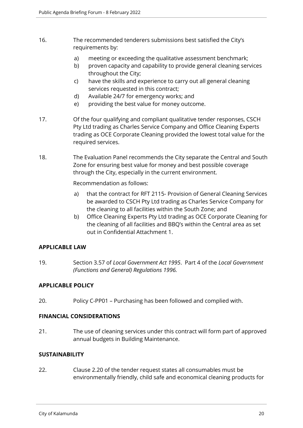- 16. The recommended tenderers submissions best satisfied the City's requirements by:
	- a) meeting or exceeding the qualitative assessment benchmark;
	- b) proven capacity and capability to provide general cleaning services throughout the City;
	- c) have the skills and experience to carry out all general cleaning services requested in this contract;
	- d) Available 24/7 for emergency works; and
	- e) providing the best value for money outcome.
- 17. Of the four qualifying and compliant qualitative tender responses, CSCH Pty Ltd trading as Charles Service Company and Office Cleaning Experts trading as OCE Corporate Cleaning provided the lowest total value for the required services.
- 18. The Evaluation Panel recommends the City separate the Central and South Zone for ensuring best value for money and best possible coverage through the City, especially in the current environment.

Recommendation as follows:

- a) that the contract for RFT 2115- Provision of General Cleaning Services be awarded to CSCH Pty Ltd trading as Charles Service Company for the cleaning to all facilities within the South Zone; and
- b) Office Cleaning Experts Pty Ltd trading as OCE Corporate Cleaning for the cleaning of all facilities and BBQ's within the Central area as set out in Confidential Attachment 1.

# **APPLICABLE LAW**

19. Section 3.57 of *Local Government Act 1995*. Part 4 of the *Local Government (Functions and General) Regulations 1996.*

# **APPLICABLE POLICY**

20. Policy C-PP01 – Purchasing has been followed and complied with.

# **FINANCIAL CONSIDERATIONS**

21. The use of cleaning services under this contract will form part of approved annual budgets in Building Maintenance.

# **SUSTAINABILITY**

22. Clause 2.20 of the tender request states all consumables must be environmentally friendly, child safe and economical cleaning products for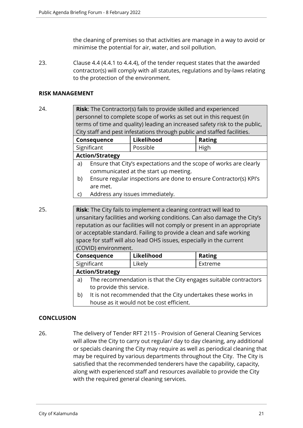the cleaning of premises so that activities are manage in a way to avoid or minimise the potential for air, water, and soil pollution.

23. Clause 4.4 (4.4.1 to 4.4.4), of the tender request states that the awarded contractor(s) will comply with all statutes, regulations and by-laws relating to the protection of the environment.

# **RISK MANAGEMENT**

24. **Risk**: The Contractor(s) fails to provide skilled and experienced personnel to complete scope of works as set out in this request (in terms of time and quality) leading an increased safety risk to the public, City staff and pest infestations through public and staffed facilities.

| <b>Consequence</b>     | Likelihood | <b>Rating</b> |
|------------------------|------------|---------------|
| Significant            | Possible   | High          |
| <b>Action/Strategy</b> |            |               |

- a) Ensure that City's expectations and the scope of works are clearly communicated at the start up meeting.
- b) Ensure regular inspections are done to ensure Contractor(s) KPI's are met.
- c) Address any issues immediately.

25. **Risk**: The City fails to implement a cleaning contract will lead to unsanitary facilities and working conditions. Can also damage the City's reputation as our facilities will not comply or present in an appropriate or acceptable standard. Failing to provide a clean and safe working space for staff will also lead OHS issues, especially in the current (COVID) environment.

| <b>Consequence</b>     | Likelihood | <b>Rating</b> |
|------------------------|------------|---------------|
| Significant            | Likely     | Extreme       |
| <b>Action/Strategy</b> |            |               |

- a) The recommendation is that the City engages suitable contractors to provide this service.
- b) It is not recommended that the City undertakes these works in house as it would not be cost efficient.

# **CONCLUSION**

26. The delivery of Tender RFT 2115 - Provision of General Cleaning Services will allow the City to carry out regular/ day to day cleaning, any additional or specials cleaning the City may require as well as periodical cleaning that may be required by various departments throughout the City. The City is satisfied that the recommended tenderers have the capability, capacity, along with experienced staff and resources available to provide the City with the required general cleaning services.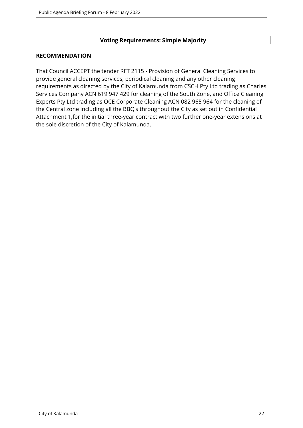# **Voting Requirements: Simple Majority**

# **RECOMMENDATION**

That Council ACCEPT the tender RFT 2115 - Provision of General Cleaning Services to provide general cleaning services, periodical cleaning and any other cleaning requirements as directed by the City of Kalamunda from CSCH Pty Ltd trading as Charles Services Company ACN 619 947 429 for cleaning of the South Zone, and Office Cleaning Experts Pty Ltd trading as OCE Corporate Cleaning ACN 082 965 964 for the cleaning of the Central zone including all the BBQ's throughout the City as set out in Confidential Attachment 1,for the initial three-year contract with two further one-year extensions at the sole discretion of the City of Kalamunda.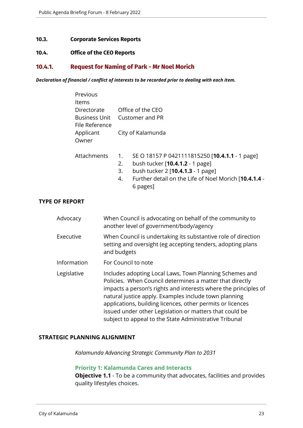#### <span id="page-22-0"></span>**10.3. Corporate Services Reports**

#### <span id="page-22-1"></span>**10.4. Office of the CEO Reports**

# <span id="page-22-2"></span>**10.4.1. Request for Naming of Park - Mr Noel Morich**

*Declaration of financial / conflict of interests to be recorded prior to dealing with each item.*

|                    | Previous<br>Items                                     |                                                                                                                                             |                                      |                                                                                                                                                                                                                                                 |
|--------------------|-------------------------------------------------------|---------------------------------------------------------------------------------------------------------------------------------------------|--------------------------------------|-------------------------------------------------------------------------------------------------------------------------------------------------------------------------------------------------------------------------------------------------|
|                    | Directorate<br><b>Business Unit</b><br>File Reference |                                                                                                                                             | Office of the CEO<br>Customer and PR |                                                                                                                                                                                                                                                 |
|                    |                                                       |                                                                                                                                             |                                      |                                                                                                                                                                                                                                                 |
| Applicant<br>Owner |                                                       | City of Kalamunda                                                                                                                           |                                      |                                                                                                                                                                                                                                                 |
|                    | Attachments                                           |                                                                                                                                             | 1.<br>2.<br>3.<br>4.                 | SE O 18157 P 0421111815250 [10.4.1.1 - 1 page]<br>bush tucker [10.4.1.2 - 1 page]<br>bush tucker 2 [10.4.1.3 - 1 page]<br>Further detail on the Life of Noel Morich [10.4.1.4 -<br>6 pages]                                                     |
| <b>F REPORT</b>    |                                                       |                                                                                                                                             |                                      |                                                                                                                                                                                                                                                 |
| Advocacy           |                                                       |                                                                                                                                             |                                      | When Council is advocating on behalf of the community to<br>another level of government/body/agency                                                                                                                                             |
| Executive          |                                                       | When Council is undertaking its substantive role of direction<br>setting and oversight (eg accepting tenders, adopting plans<br>and budgets |                                      |                                                                                                                                                                                                                                                 |
| Information        |                                                       |                                                                                                                                             |                                      | For Council to note                                                                                                                                                                                                                             |
| Legislative        |                                                       |                                                                                                                                             |                                      | Includes adopting Local Laws, Town Planning Schemes and<br>Policies. When Council determines a matter that directly<br>impacts a person's rights and interests where the principles of<br>natural justice apply. Examples include town planning |

# **STRATEGIC PLANNING ALIGNMENT**

*Kalamunda Advancing Strategic Community Plan to 2031*

#### **Priority 1: Kalamunda Cares and Interacts**

**Objective 1.1** - To be a community that advocates, facilities and provides quality lifestyles choices.

applications, building licences, other permits or licences issued under other Legislation or matters that could be subject to appeal to the State Administrative Tribunal

**TYPE OF**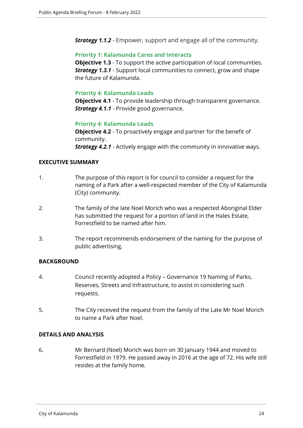*Strategy 1.1.2* - Empower, support and engage all of the community.

#### **Priority 1: Kalamunda Cares and Interacts**

**Objective 1.3** - To support the active participation of local communities. *Strategy 1.3.1* - Support local communities to connect, grow and shape the future of Kalamunda.

# **Priority 4: Kalamunda Leads**

**Objective 4.1** - To provide leadership through transparent governance. *Strategy 4.1.1* - Provide good governance.

# **Priority 4: Kalamunda Leads**

**Objective 4.2** - To proactively engage and partner for the benefit of community. *Strategy 4.2.1* - Actively engage with the community in innovative ways.

# **EXECUTIVE SUMMARY**

- 1. The purpose of this report is for council to consider a request for the naming of a Park after a well-respected member of the City of Kalamunda (City) community.
- 2. The family of the late Noel Morich who was a respected Aboriginal Elder has submitted the request for a portion of land in the Hales Estate, Forrestfield to be named after him.
- 3. The report recommends endorsement of the naming for the purpose of public advertising.

# **BACKGROUND**

- 4. Council recently adopted a Policy Governance 19 Naming of Parks, Reserves, Streets and Infrastructure, to assist in considering such requests.
- 5. The City received the request from the family of the Late Mr Noel Morich to name a Park after Noel.

# **DETAILS AND ANALYSIS**

6. Mr Bernard (Noel) Morich was born on 30 January 1944 and moved to Forrestfield in 1979. He passed away in 2016 at the age of 72. His wife still resides at the family home.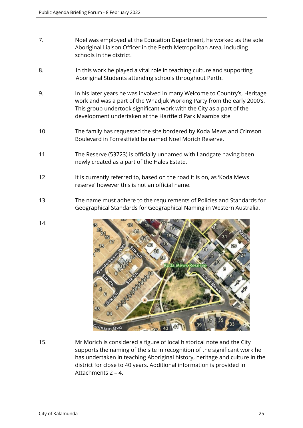- 7. Noel was employed at the Education Department, he worked as the sole Aboriginal Liaison Officer in the Perth Metropolitan Area, including schools in the district.
- 8. In this work he played a vital role in teaching culture and supporting Aboriginal Students attending schools throughout Perth.
- 9. In his later years he was involved in many Welcome to Country's, Heritage work and was a part of the Whadjuk Working Party from the early 2000's. This group undertook significant work with the City as a part of the development undertaken at the Hartfield Park Maamba site
- 10. The family has requested the site bordered by Koda Mews and Crimson Boulevard in Forrestfield be named Noel Morich Reserve.
- 11. The Reserve (53723) is officially unnamed with Landgate having been newly created as a part of the Hales Estate.
- 12. It is currently referred to, based on the road it is on, as 'Koda Mews reserve' however this is not an official name.
- 13. The name must adhere to the requirements of Policies and Standards for Geographical Standards for Geographical Naming in Western Australia.
- 14.



15. Mr Morich is considered a figure of local historical note and the City supports the naming of the site in recognition of the significant work he has undertaken in teaching Aboriginal history, heritage and culture in the district for close to 40 years. Additional information is provided in Attachments 2 – 4.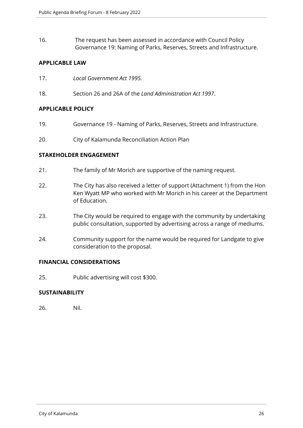16. The request has been assessed in accordance with Council Policy Governance 19: Naming of Parks, Reserves, Streets and Infrastructure.

# **APPLICABLE LAW**

- 17. *Local Government Act 1995.*
- 18. Section 26 and 26A of the *Land Administration Act 1997*.

## **APPLICABLE POLICY**

- 19. Governance 19 Naming of Parks, Reserves, Streets and Infrastructure.
- 20. City of Kalamunda Reconciliation Action Plan

# **STAKEHOLDER ENGAGEMENT**

- 21. The family of Mr Morich are supportive of the naming request.
- 22. The City has also received a letter of support (Attachment 1) from the Hon Ken Wyatt MP who worked with Mr Morich in his career at the Department of Education.
- 23. The City would be required to engage with the community by undertaking public consultation, supported by advertising across a range of mediums.
- 24. Community support for the name would be required for Landgate to give consideration to the proposal.

#### **FINANCIAL CONSIDERATIONS**

25. Public advertising will cost \$300.

# **SUSTAINABILITY**

26. Nil.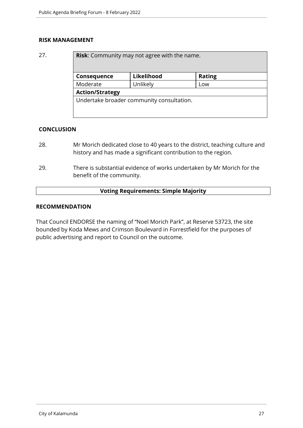# **RISK MANAGEMENT**

27. **Risk:** Community may not agree with the n

| Consequence            | Likelihood | <b>Rating</b> |  |
|------------------------|------------|---------------|--|
| Moderate               | Unlikely   | Low           |  |
| <b>Action/Strategy</b> |            |               |  |

#### **CONCLUSION**

- 28. Mr Morich dedicated close to 40 years to the district, teaching culture and history and has made a significant contribution to the region.
- 29. There is substantial evidence of works undertaken by Mr Morich for the benefit of the community.

# **Voting Requirements: Simple Majority**

# **RECOMMENDATION**

That Council ENDORSE the naming of "Noel Morich Park", at Reserve 53723, the site bounded by Koda Mews and Crimson Boulevard in Forrestfield for the purposes of public advertising and report to Council on the outcome.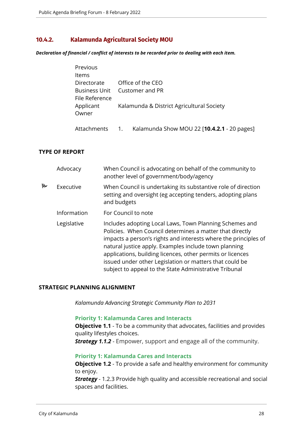# <span id="page-27-0"></span>**10.4.2. Kalamunda Agricultural Society MOU**

*Declaration of financial / conflict of interests to be recorded prior to dealing with each item.*

| Previous           |                                           |
|--------------------|-------------------------------------------|
| <b>Items</b>       |                                           |
| Directorate        | Office of the CEO                         |
| File Reference     | Business Unit Customer and PR             |
| Applicant<br>Owner | Kalamunda & District Agricultural Society |

# Attachments 1. Kalamunda Show MOU 22 [**10.4.2.1** - 20 pages]

# **TYPE OF REPORT**

|   | Advocacy    | When Council is advocating on behalf of the community to<br>another level of government/body/agency                                                                                                                                                                                                                                                                                                                                |
|---|-------------|------------------------------------------------------------------------------------------------------------------------------------------------------------------------------------------------------------------------------------------------------------------------------------------------------------------------------------------------------------------------------------------------------------------------------------|
| Ъ | Executive   | When Council is undertaking its substantive role of direction<br>setting and oversight (eg accepting tenders, adopting plans<br>and budgets                                                                                                                                                                                                                                                                                        |
|   | Information | For Council to note                                                                                                                                                                                                                                                                                                                                                                                                                |
|   | Legislative | Includes adopting Local Laws, Town Planning Schemes and<br>Policies. When Council determines a matter that directly<br>impacts a person's rights and interests where the principles of<br>natural justice apply. Examples include town planning<br>applications, building licences, other permits or licences<br>issued under other Legislation or matters that could be<br>subject to appeal to the State Administrative Tribunal |

# **STRATEGIC PLANNING ALIGNMENT**

*Kalamunda Advancing Strategic Community Plan to 2031*

#### **Priority 1: Kalamunda Cares and Interacts**

**Objective 1.1** - To be a community that advocates, facilities and provides quality lifestyles choices.

*Strategy 1.1.2* - Empower, support and engage all of the community.

# **Priority 1: Kalamunda Cares and Interacts**

**Objective 1.2** - To provide a safe and healthy environment for community to enjoy.

**Strategy** - 1.2.3 Provide high quality and accessible recreational and social spaces and facilities.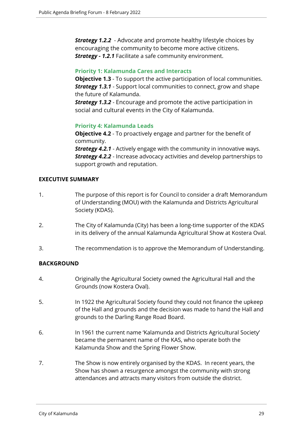**Strategy 1.2.2** - Advocate and promote healthy lifestyle choices by encouraging the community to become more active citizens. *Strategy - 1.2.1* Facilitate a safe community environment.

#### **Priority 1: Kalamunda Cares and Interacts**

**Objective 1.3** - To support the active participation of local communities. *Strategy 1.3.1* - Support local communities to connect, grow and shape the future of Kalamunda.

*Strategy 1.3.2* - Encourage and promote the active participation in social and cultural events in the City of Kalamunda.

# **Priority 4: Kalamunda Leads**

**Objective 4.2** - To proactively engage and partner for the benefit of community.

*Strategy 4.2.1* - Actively engage with the community in innovative ways. *Strategy 4.2.2* - Increase advocacy activities and develop partnerships to support growth and reputation.

# **EXECUTIVE SUMMARY**

- 1. The purpose of this report is for Council to consider a draft Memorandum of Understanding (MOU) with the Kalamunda and Districts Agricultural Society (KDAS).
- 2. The City of Kalamunda (City) has been a long-time supporter of the KDAS in its delivery of the annual Kalamunda Agricultural Show at Kostera Oval.
- 3. The recommendation is to approve the Memorandum of Understanding.

# **BACKGROUND**

- 4. Originally the Agricultural Society owned the Agricultural Hall and the Grounds (now Kostera Oval).
- 5. In 1922 the Agricultural Society found they could not finance the upkeep of the Hall and grounds and the decision was made to hand the Hall and grounds to the Darling Range Road Board.
- 6. In 1961 the current name 'Kalamunda and Districts Agricultural Society' became the permanent name of the KAS, who operate both the Kalamunda Show and the Spring Flower Show.
- 7. The Show is now entirely organised by the KDAS. In recent years, the Show has shown a resurgence amongst the community with strong attendances and attracts many visitors from outside the district.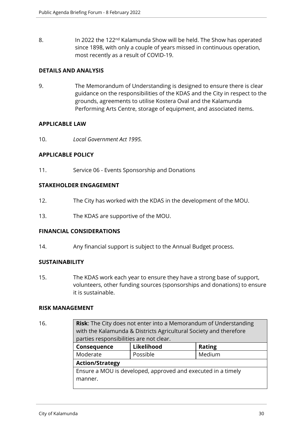8. In 2022 the 122<sup>nd</sup> Kalamunda Show will be held. The Show has operated since 1898, with only a couple of years missed in continuous operation, most recently as a result of COVID-19.

# **DETAILS AND ANALYSIS**

9. The Memorandum of Understanding is designed to ensure there is clear guidance on the responsibilities of the KDAS and the City in respect to the grounds, agreements to utilise Kostera Oval and the Kalamunda Performing Arts Centre, storage of equipment, and associated items.

# **APPLICABLE LAW**

10. *Local Government Act 1995.* 

# **APPLICABLE POLICY**

11. Service 06 - Events Sponsorship and Donations

# **STAKEHOLDER ENGAGEMENT**

- 12. The City has worked with the KDAS in the development of the MOU.
- 13. The KDAS are supportive of the MOU.

# **FINANCIAL CONSIDERATIONS**

14. Any financial support is subject to the Annual Budget process.

# **SUSTAINABILITY**

15. The KDAS work each year to ensure they have a strong base of support, volunteers, other funding sources (sponsorships and donations) to ensure it is sustainable.

#### **RISK MANAGEMENT**

16. **Risk**: The City does not enter into a Memorandum of Understanding with the Kalamunda & Districts Agricultural Society and therefore parties responsibilities are not clear. **Consequence Likelihood Rating** Moderate Rossible Moderate Reserves **Action/Strategy** Ensure a MOU is developed, approved and executed in a timely manner.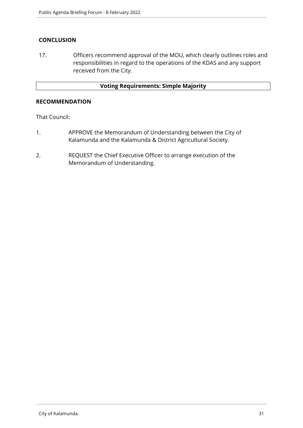# **CONCLUSION**

17. Officers recommend approval of the MOU, which clearly outlines roles and responsibilities in regard to the operations of the KDAS and any support received from the City.

# **Voting Requirements: Simple Majority**

#### **RECOMMENDATION**

That Council:

- 1. APPROVE the Memorandum of Understanding between the City of Kalamunda and the Kalamunda & District Agricultural Society.
- 2. REQUEST the Chief Executive Officer to arrange execution of the Memorandum of Understanding.